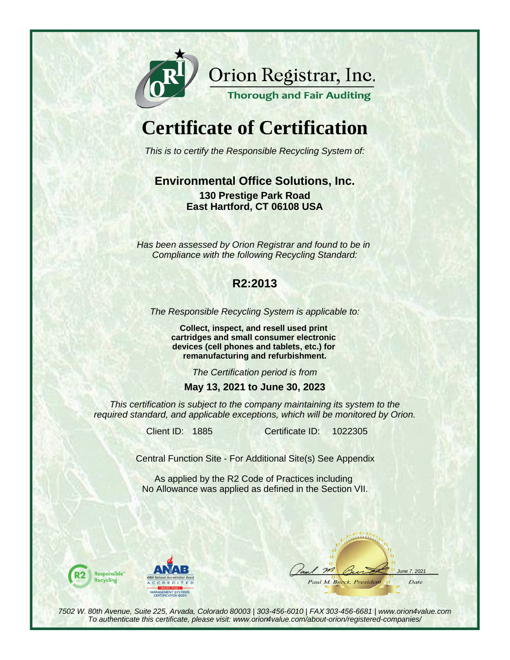

Orion Registrar, Inc.

**Thorough and Fair Auditing** 

# **Certificate of Certification**

This is to certify the Responsible Recycling System of:

#### **Environmental Office Solutions, Inc. 130 Prestige Park Road East Hartford, CT 06108 USA**

Has been assessed by Orion Registrar and found to be in Compliance with the following Recycling Standard:

## **R2:2013**

The Responsible Recycling System is applicable to:

**Collect, inspect, and resell used print cartridges and small consumer electronic devices (cell phones and tablets, etc.) for remanufacturing and refurbishment.**

The Certification period is from

#### **May 13, 2021 to June 30, 2023**

This certification is subject to the company maintaining its system to the required standard, and applicable exceptions, which will be monitored by Orion.

Client ID: 1885 Certificate ID:

1022305

Central Function Site - For Additional Site(s) See Appendix

As applied by the R2 Code of Practices including No Allowance was applied as defined in the Section VII.





 $m$  $7.2021$ Paul M. Burck, Presidem Date

7502 W. 80th Avenue, Suite 225, Arvada, Colorado 80003 | 303-456-6010 | FAX 303-456-6681 | www.orion4value.com To authenticate this certificate, please visit: www.orion4value.com/about-orion/registered-companies/